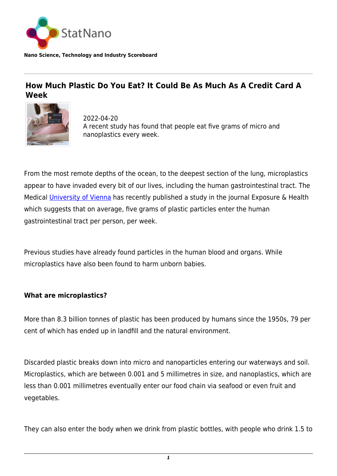

**Nano Science, Technology and Industry Scoreboard**

## **How Much Plastic Do You Eat? It Could Be As Much As A Credit Card A Week**



2022-04-20 A recent study has found that people eat five grams of micro and nanoplastics every week.

From the most remote depths of the ocean, to the deepest section of the lung, microplastics appear to have invaded every bit of our lives, including the human gastrointestinal tract. The Medical [University of Vienna](https://statnano.com/org/University-of-Vienna) has recently published a study in the journal Exposure & Health which suggests that on average, five grams of plastic particles enter the human gastrointestinal tract per person, per week.

Previous studies have already found particles in the human blood and organs. While microplastics have also been found to harm unborn babies.

## **What are microplastics?**

More than 8.3 billion tonnes of plastic has been produced by humans since the 1950s, 79 per cent of which has ended up in landfill and the natural environment.

Discarded plastic breaks down into micro and nanoparticles entering our waterways and soil. Microplastics, which are between 0.001 and 5 millimetres in size, and nanoplastics, which are less than 0.001 millimetres eventually enter our food chain via seafood or even fruit and vegetables.

They can also enter the body when we drink from plastic bottles, with people who drink 1.5 to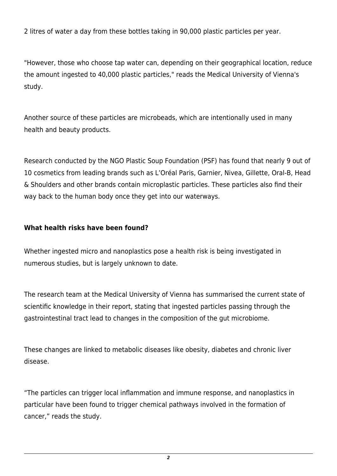2 litres of water a day from these bottles taking in 90,000 plastic particles per year.

"However, those who choose tap water can, depending on their geographical location, reduce the amount ingested to 40,000 plastic particles," reads the Medical University of Vienna's study.

Another source of these particles are microbeads, which are intentionally used in many health and beauty products.

Research conducted by the NGO Plastic Soup Foundation (PSF) has found that nearly 9 out of 10 cosmetics from leading brands such as L'Oréal Paris, Garnier, Nivea, Gillette, Oral-B, Head & Shoulders and other brands contain microplastic particles. These particles also find their way back to the human body once they get into our waterways.

## **What health risks have been found?**

Whether ingested micro and nanoplastics pose a health risk is being investigated in numerous studies, but is largely unknown to date.

The research team at the Medical University of Vienna has summarised the current state of scientific knowledge in their report, stating that ingested particles passing through the gastrointestinal tract lead to changes in the composition of the gut microbiome.

These changes are linked to metabolic diseases like obesity, diabetes and chronic liver disease.

"The particles can trigger local inflammation and immune response, and nanoplastics in particular have been found to trigger chemical pathways involved in the formation of cancer," reads the study.